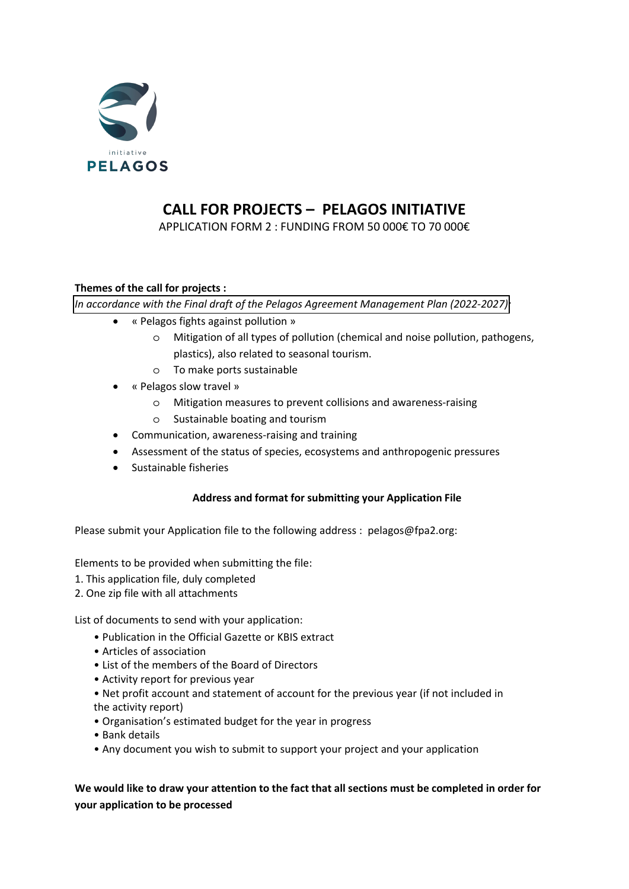

# **CALL FOR PROJECTS – PELAGOS INITIATIVE**

APPLICATION FORM 2 : FUNDING FROM 50 000€ TO 70 000€

### **Themes of the call for projects :**

*In accordance with the Final draft of the Pelagos Agreement Management Plan (2022-2027):*

- « Pelagos fights against pollution »
	- o Mitigation of all types of pollution (chemical and noise pollution, pathogens, plastics), also related to seasonal tourism.
	- o To make ports sustainable
- « Pelagos slow travel »
	- o Mitigation measures to prevent collisions and awareness-raising
	- o Sustainable boating and tourism
- Communication, awareness-raising and training
- Assessment of the status of species, ecosystems and anthropogenic pressures
- Sustainable fisheries

### **Address and format for submitting your Application File**

Please submit your Application file to the following address : pelagos@fpa2.org:

Elements to be provided when submitting the file:

- 1. This application file, duly completed
- 2. One zip file with all attachments

List of documents to send with your application:

- Publication in the Official Gazette or KBIS extract
- Articles of association
- List of the members of the Board of Directors
- Activity report for previous year
- Net profit account and statement of account for the previous year (if not included in the activity report)
- Organisation's estimated budget for the year in progress
- Bank details
- Any document you wish to submit to support your project and your application

### **We would like to draw your attention to the fact that all sections must be completed in order for your application to be processed**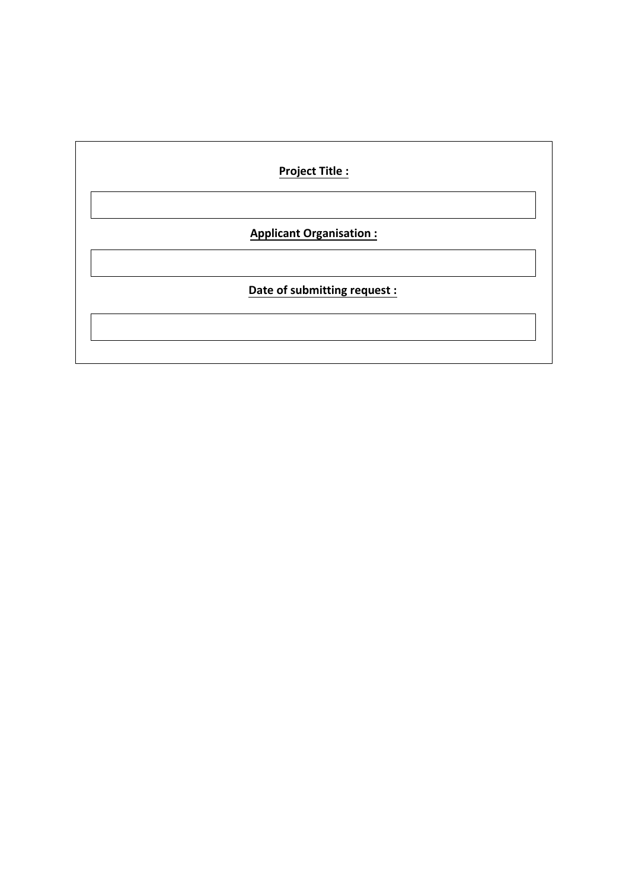| <b>Project Title:</b>          |  |  |  |  |
|--------------------------------|--|--|--|--|
|                                |  |  |  |  |
| <b>Applicant Organisation:</b> |  |  |  |  |
|                                |  |  |  |  |
| Date of submitting request :   |  |  |  |  |
|                                |  |  |  |  |
|                                |  |  |  |  |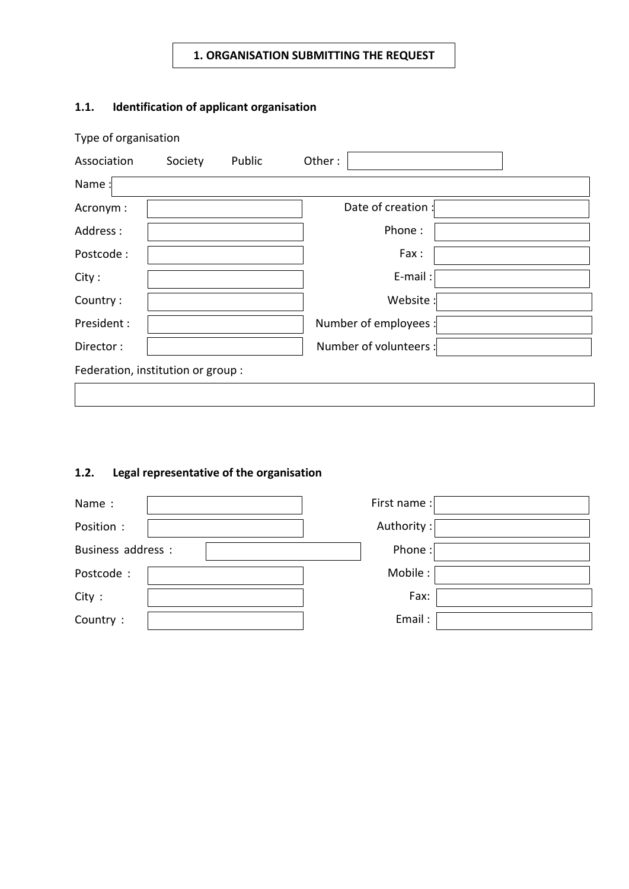# **1. ORGANISATION SUBMITTING THE REQUEST**

# **1.1. Identification of applicant organisation**

| Type of organisation               |         |        |                        |  |  |
|------------------------------------|---------|--------|------------------------|--|--|
| Association                        | Society | Public | Other:                 |  |  |
| Name:                              |         |        |                        |  |  |
| Acronym:                           |         |        | Date of creation :     |  |  |
| Address:                           |         |        | Phone:                 |  |  |
| Postcode:                          |         |        | Fax:                   |  |  |
| City:                              |         |        | E-mail:                |  |  |
| Country:                           |         |        | Website:               |  |  |
| President:                         |         |        | Number of employees :  |  |  |
| Director:                          |         |        | Number of volunteers : |  |  |
| Federation, institution or group : |         |        |                        |  |  |
|                                    |         |        |                        |  |  |

# **1.2. Legal representative of the organisation**

| Name:              | First name: |
|--------------------|-------------|
| Position :         | Authority:  |
| Business address : | Phone:      |
| Postcode:          | Mobile:     |
| City:              | Fax:        |
| Country:           | Email:      |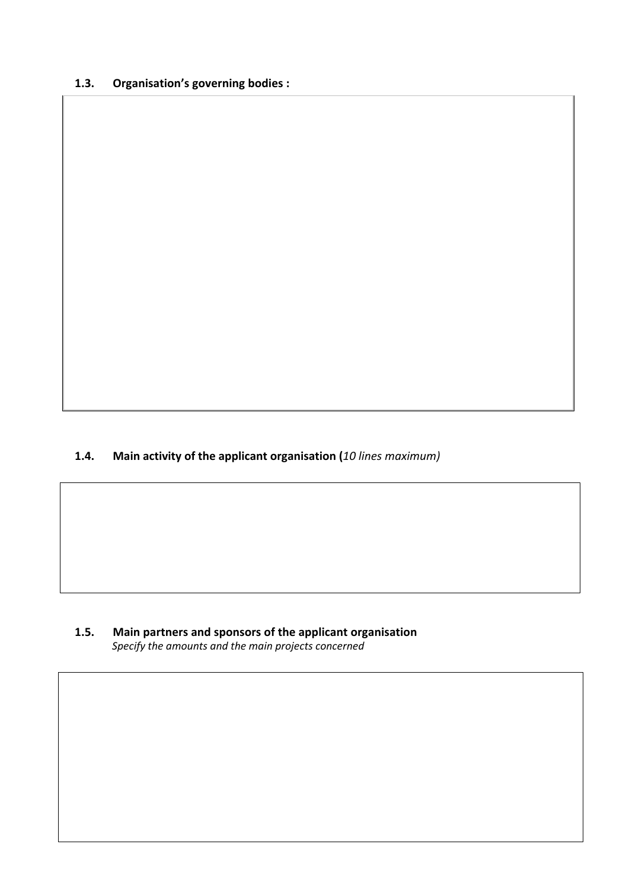# **1.3. Organisation's governing bodies :**

## **1.4. Main activity of the applicant organisation (***10 lines maximum)*

**1.5. Main partners and sponsors of the applicant organisation** *Specify the amounts and the main projects concerned*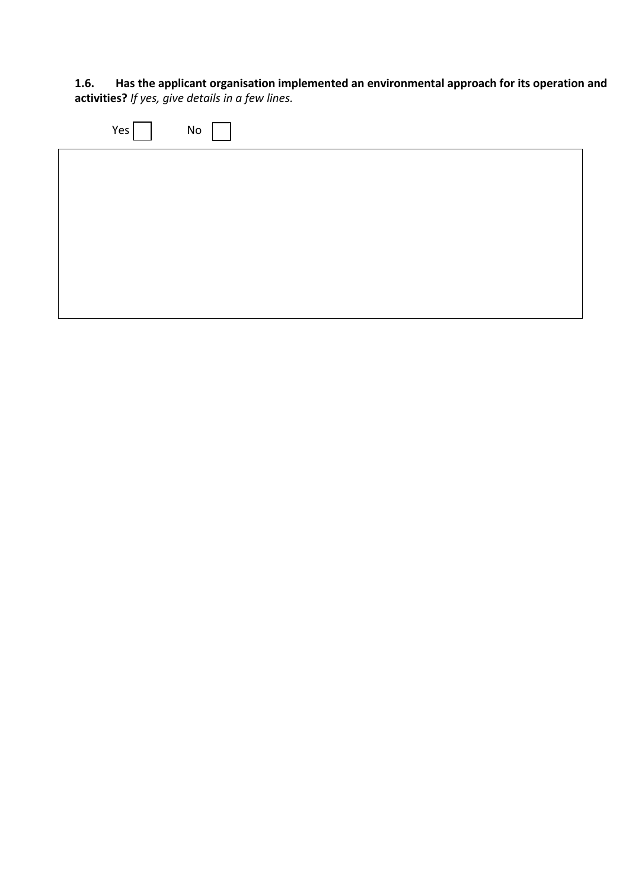**1.6. Has the applicant organisation implemented an environmental approach for its operation and activities?** *If yes, give details in a few lines.* 

| Yes | No |  |  |
|-----|----|--|--|
|     |    |  |  |
|     |    |  |  |
|     |    |  |  |
|     |    |  |  |
|     |    |  |  |
|     |    |  |  |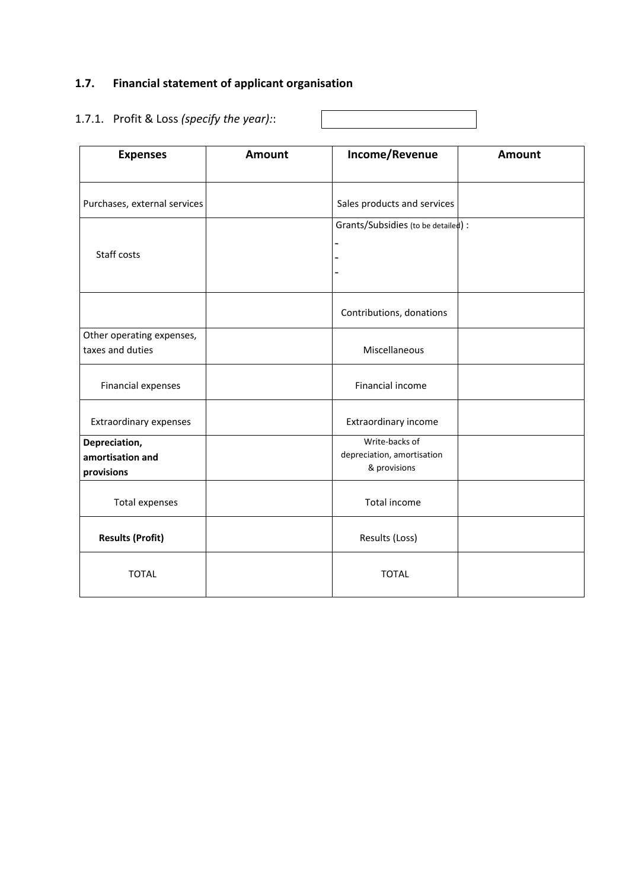# **1.7. Financial statement of applicant organisation**

# 1.7.1. Profit & Loss *(specify the year):*:

| <b>Expenses</b>                | Amount | Income/Revenue                               | Amount |
|--------------------------------|--------|----------------------------------------------|--------|
|                                |        |                                              |        |
| Purchases, external services   |        | Sales products and services                  |        |
|                                |        | Grants/Subsidies (to be detailed):           |        |
|                                |        |                                              |        |
| Staff costs                    |        |                                              |        |
|                                |        |                                              |        |
|                                |        | Contributions, donations                     |        |
| Other operating expenses,      |        |                                              |        |
| taxes and duties               |        | Miscellaneous                                |        |
|                                |        |                                              |        |
| Financial expenses             |        | Financial income                             |        |
| Extraordinary expenses         |        | Extraordinary income                         |        |
|                                |        |                                              |        |
| Depreciation,                  |        | Write-backs of<br>depreciation, amortisation |        |
| amortisation and<br>provisions |        | & provisions                                 |        |
|                                |        |                                              |        |
| <b>Total expenses</b>          |        | <b>Total income</b>                          |        |
| <b>Results (Profit)</b>        |        | Results (Loss)                               |        |
|                                |        |                                              |        |
| <b>TOTAL</b>                   |        | <b>TOTAL</b>                                 |        |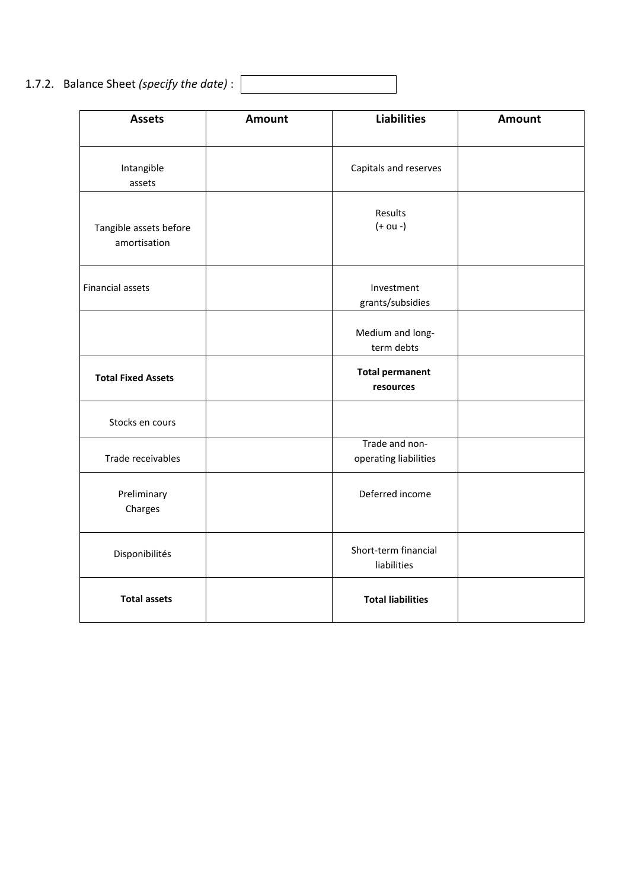1.7.2. Balance Sheet *(specify the date)* :

| <b>Assets</b>                          | Amount | <b>Liabilities</b>                      | <b>Amount</b> |
|----------------------------------------|--------|-----------------------------------------|---------------|
| Intangible<br>assets                   |        | Capitals and reserves                   |               |
| Tangible assets before<br>amortisation |        | Results<br>$(+ou -)$                    |               |
| <b>Financial assets</b>                |        | Investment<br>grants/subsidies          |               |
|                                        |        | Medium and long-<br>term debts          |               |
| <b>Total Fixed Assets</b>              |        | <b>Total permanent</b><br>resources     |               |
| Stocks en cours                        |        |                                         |               |
| Trade receivables                      |        | Trade and non-<br>operating liabilities |               |
| Preliminary<br>Charges                 |        | Deferred income                         |               |
| Disponibilités                         |        | Short-term financial<br>liabilities     |               |
| <b>Total assets</b>                    |        | <b>Total liabilities</b>                |               |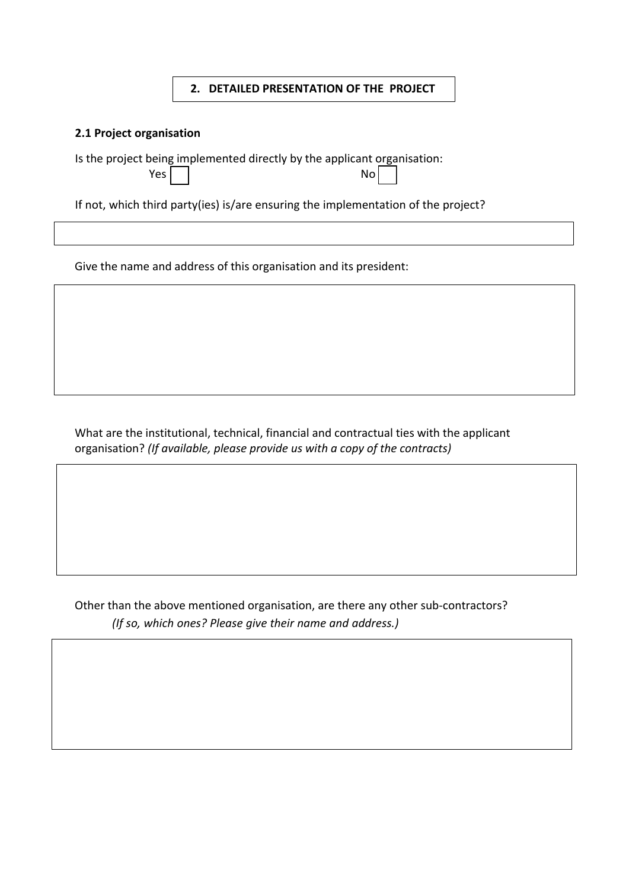#### **2. DETAILED PRESENTATION OF THE PROJECT**

#### **2.1 Project organisation**

Is the project being implemented directly by the applicant organisation:

| .          |    |
|------------|----|
| Yes $\Box$ | No |

If not, which third party(ies) is/are ensuring the implementation of the project?

Give the name and address of this organisation and its president:

What are the institutional, technical, financial and contractual ties with the applicant organisation? *(If available, please provide us with a copy of the contracts)* 

Other than the above mentioned organisation, are there any other sub-contractors? *(If so, which ones? Please give their name and address.)*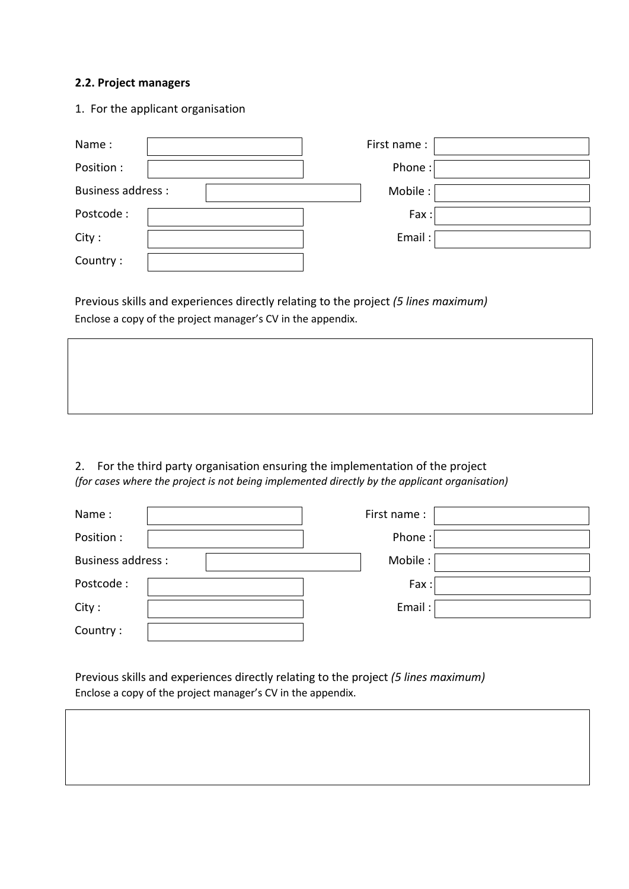#### **2.2. Project managers**

1. For the applicant organisation

| Name:                    | First name: |  |
|--------------------------|-------------|--|
| Position :               | Phone:      |  |
| <b>Business address:</b> | Mobile:     |  |
| Postcode:                | Fax:        |  |
| City:                    | Email:      |  |
| Country:                 |             |  |

Previous skills and experiences directly relating to the project *(5 lines maximum)* Enclose a copy of the project manager's CV in the appendix.

2. For the third party organisation ensuring the implementation of the project *(for cases where the project is not being implemented directly by the applicant organisation)*

| Name:                    | First name: |  |
|--------------------------|-------------|--|
| Position :               | Phone:      |  |
| <b>Business address:</b> | Mobile:     |  |
| Postcode:                | Fax:        |  |
| City:                    | Email:      |  |
| Country:                 |             |  |

Previous skills and experiences directly relating to the project *(5 lines maximum)* Enclose a copy of the project manager's CV in the appendix.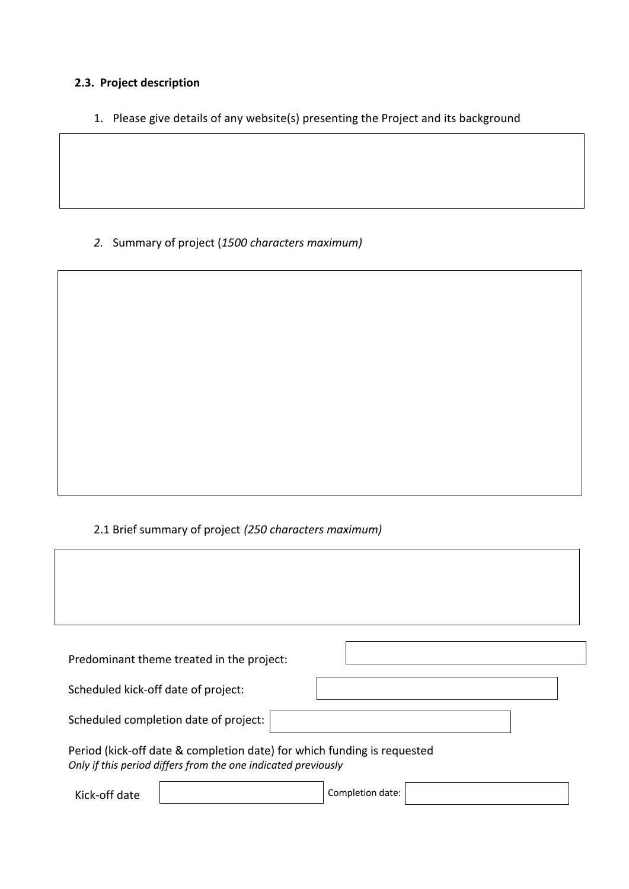# **2.3. Project description**

1. Please give details of any website(s) presenting the Project and its background

*2.* Summary of project (*1500 characters maximum)*

# 2.1 Brief summary of project *(250 characters maximum)*

| Predominant theme treated in the project:                                                                                                |  |
|------------------------------------------------------------------------------------------------------------------------------------------|--|
| Scheduled kick-off date of project:                                                                                                      |  |
| Scheduled completion date of project:                                                                                                    |  |
| Period (kick-off date & completion date) for which funding is requested<br>Only if this period differs from the one indicated previously |  |

Kick-off date **Completion date:**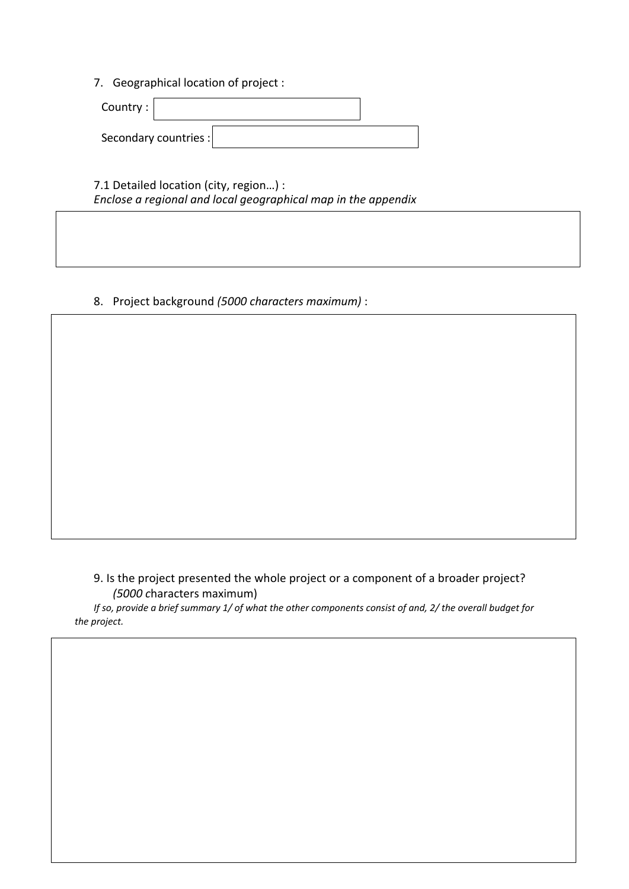7. Geographical location of project :

| Country: |                       |  |
|----------|-----------------------|--|
|          | Secondary countries : |  |

7.1 Detailed location (city, region…) : *Enclose a regional and local geographical map in the appendix*

8. Project background *(5000 characters maximum)* :

9. Is the project presented the whole project or a component of a broader project? *(5000 c*haracters maximum)

*If so, provide a brief summary 1/ of what the other components consist of and, 2/ the overall budget for the project.*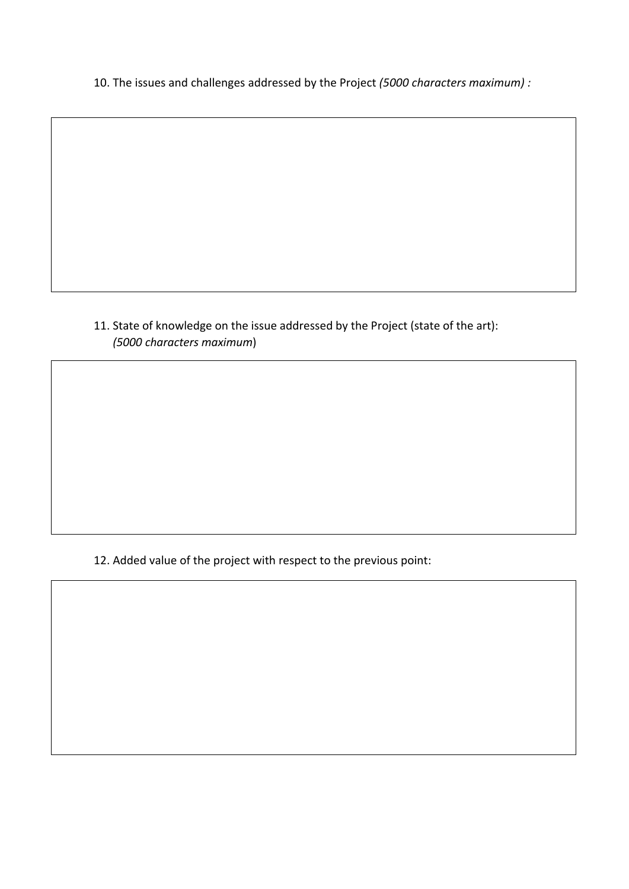10. The issues and challenges addressed by the Project *(5000 characters maximum) :*

# 11. State of knowledge on the issue addressed by the Project (state of the art): *(5000 characters maximum*)

12. Added value of the project with respect to the previous point: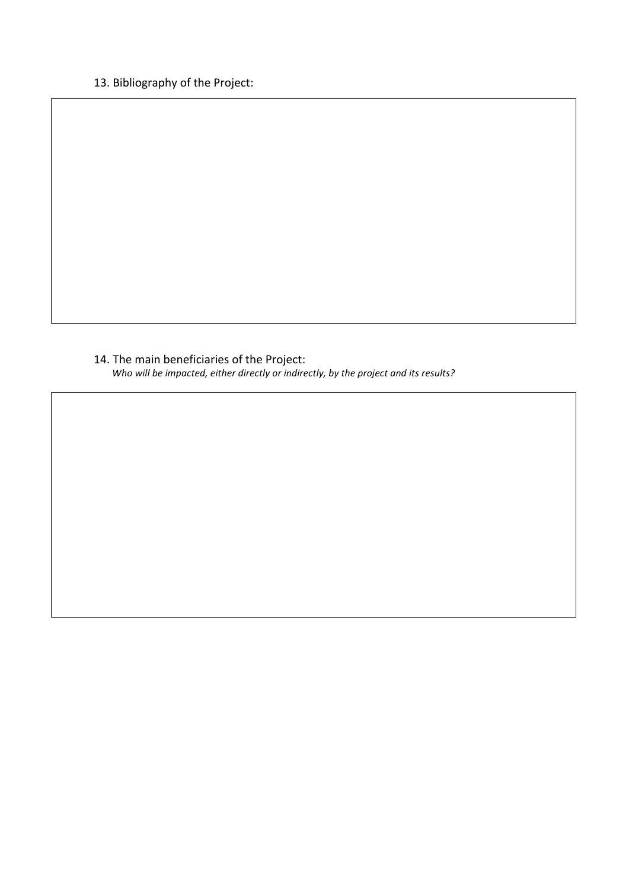# 13. Bibliography of the Project:

14. The main beneficiaries of the Project: *Who will be impacted, either directly or indirectly, by the project and its results?*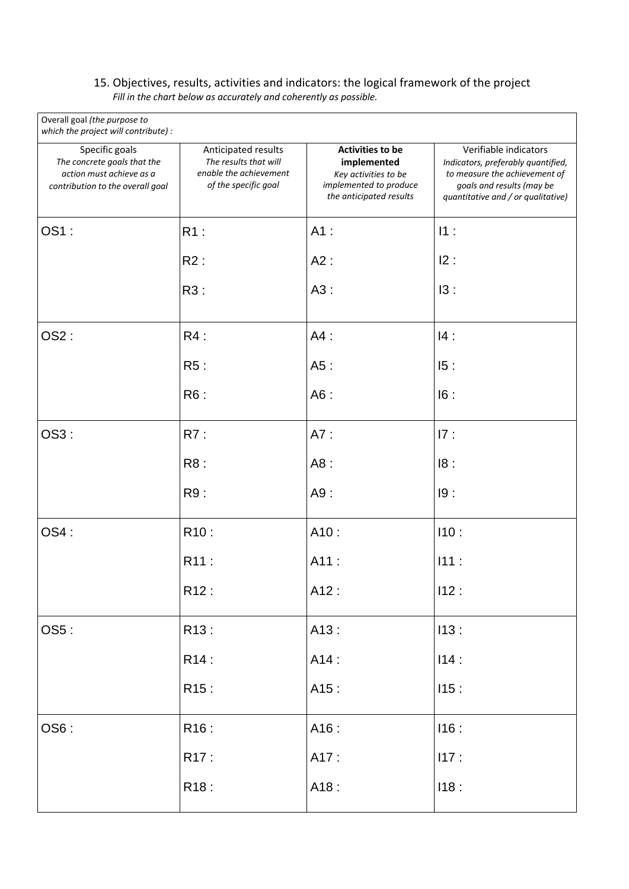#### 15. Objectives, results, activities and indicators: the logical framework of the project *Fill in the chart below as accurately and coherently as possible.*

| Overall goal (the purpose to<br>which the project will contribute) :                                          |                                                                                                |                                                                                                                     |                                                                                                                                                                 |
|---------------------------------------------------------------------------------------------------------------|------------------------------------------------------------------------------------------------|---------------------------------------------------------------------------------------------------------------------|-----------------------------------------------------------------------------------------------------------------------------------------------------------------|
| Specific goals<br>The concrete goals that the<br>action must achieve as a<br>contribution to the overall goal | Anticipated results<br>The results that will<br>enable the achievement<br>of the specific goal | <b>Activities to be</b><br>implemented<br>Key activities to be<br>implemented to produce<br>the anticipated results | Verifiable indicators<br>Indicators, preferably quantified,<br>to measure the achievement of<br>goals and results (may be<br>quantitative and / or qualitative) |
| OS1:                                                                                                          | $R1$ :                                                                                         | $A1$ :                                                                                                              | 11:                                                                                                                                                             |
|                                                                                                               | R2:                                                                                            | A2:                                                                                                                 | 12:                                                                                                                                                             |
|                                                                                                               | R3:                                                                                            | A3:                                                                                                                 | 13:                                                                                                                                                             |
| OS2:                                                                                                          | R4:                                                                                            | $A4$ :                                                                                                              | 14:                                                                                                                                                             |
|                                                                                                               | R5:                                                                                            | A5:                                                                                                                 | 15:                                                                                                                                                             |
|                                                                                                               | R6:                                                                                            | A6:                                                                                                                 | 16:                                                                                                                                                             |
| OS3:                                                                                                          | R7:                                                                                            | A7:                                                                                                                 | 17:                                                                                                                                                             |
|                                                                                                               | R8:                                                                                            | A8:                                                                                                                 | 18:                                                                                                                                                             |
|                                                                                                               | R9:                                                                                            | A9:                                                                                                                 | 19:                                                                                                                                                             |
| OS4:                                                                                                          | R <sub>10</sub> :                                                                              | A10:                                                                                                                | 110:                                                                                                                                                            |
|                                                                                                               | R11:                                                                                           | A11:                                                                                                                | 111:                                                                                                                                                            |
|                                                                                                               | R12:                                                                                           | A12:                                                                                                                | 112:                                                                                                                                                            |
| OS5:                                                                                                          | R13:                                                                                           | A13:                                                                                                                | 113:                                                                                                                                                            |
|                                                                                                               | R14:                                                                                           | A14:                                                                                                                | 114:                                                                                                                                                            |
|                                                                                                               | R <sub>15</sub> :                                                                              | A15:                                                                                                                | 115:                                                                                                                                                            |
| OS6:                                                                                                          | R16:                                                                                           | A16:                                                                                                                | 116:                                                                                                                                                            |
|                                                                                                               | R17:                                                                                           | A17:                                                                                                                | 117:                                                                                                                                                            |
|                                                                                                               | R <sub>18</sub> :                                                                              | A18:                                                                                                                | 118:                                                                                                                                                            |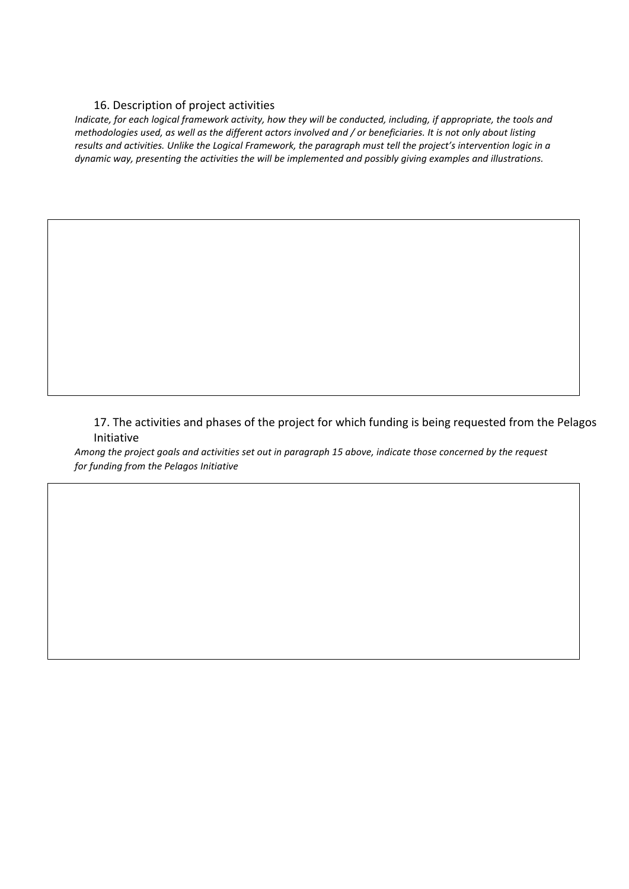#### 16. Description of project activities

*Indicate, for each logical framework activity, how they will be conducted, including, if appropriate, the tools and methodologies used, as well as the different actors involved and / or beneficiaries. It is not only about listing results and activities. Unlike the Logical Framework, the paragraph must tell the project's intervention logic in a dynamic way, presenting the activities the will be implemented and possibly giving examples and illustrations.*

17. The activities and phases of the project for which funding is being requested from the Pelagos Initiative

*Among the project goals and activities set out in paragraph 15 above, indicate those concerned by the request for funding from the Pelagos Initiative*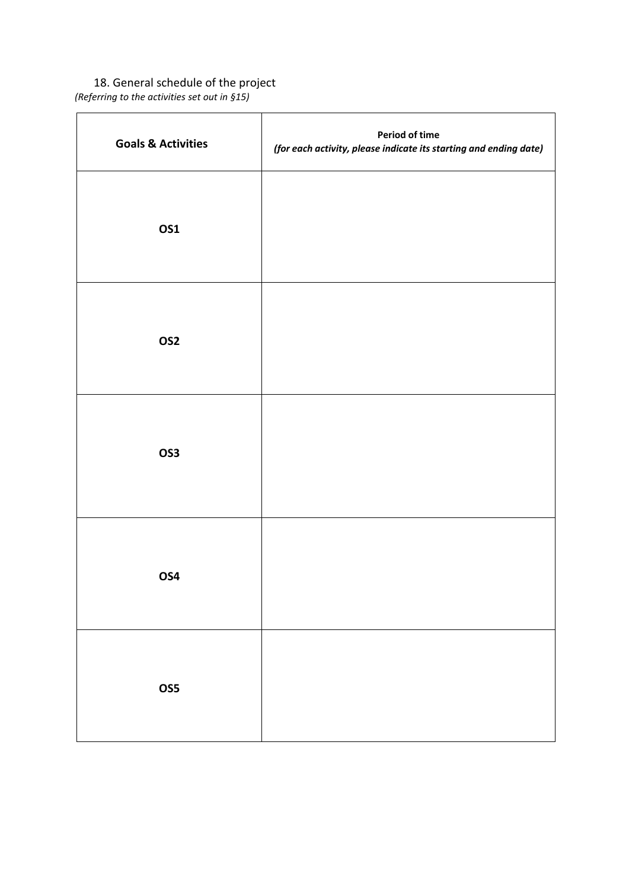18. General schedule of the project *(Referring to the activities set out in §15)*

| <b>Goals &amp; Activities</b> | <b>Period of time</b><br>(for each activity, please indicate its starting and ending date) |
|-------------------------------|--------------------------------------------------------------------------------------------|
| <b>OS1</b>                    |                                                                                            |
| OS <sub>2</sub>               |                                                                                            |
| OS3                           |                                                                                            |
| OS4                           |                                                                                            |
| OS5                           |                                                                                            |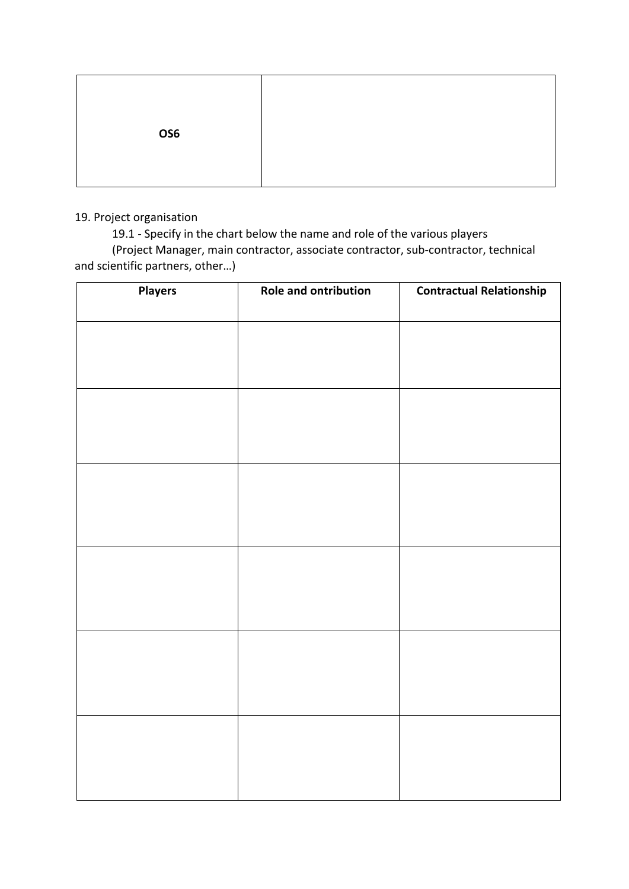| OS6 |  |
|-----|--|
|     |  |

### 19. Project organisation

19.1 - Specify in the chart below the name and role of the various players

(Project Manager, main contractor, associate contractor, sub-contractor, technical and scientific partners, other…)

| <b>Players</b> | <b>Role and ontribution</b> | <b>Contractual Relationship</b> |
|----------------|-----------------------------|---------------------------------|
|                |                             |                                 |
|                |                             |                                 |
|                |                             |                                 |
|                |                             |                                 |
|                |                             |                                 |
|                |                             |                                 |
|                |                             |                                 |
|                |                             |                                 |
|                |                             |                                 |
|                |                             |                                 |
|                |                             |                                 |
|                |                             |                                 |
|                |                             |                                 |
|                |                             |                                 |
|                |                             |                                 |
|                |                             |                                 |
|                |                             |                                 |
|                |                             |                                 |
|                |                             |                                 |
|                |                             |                                 |
|                |                             |                                 |
|                |                             |                                 |
|                |                             |                                 |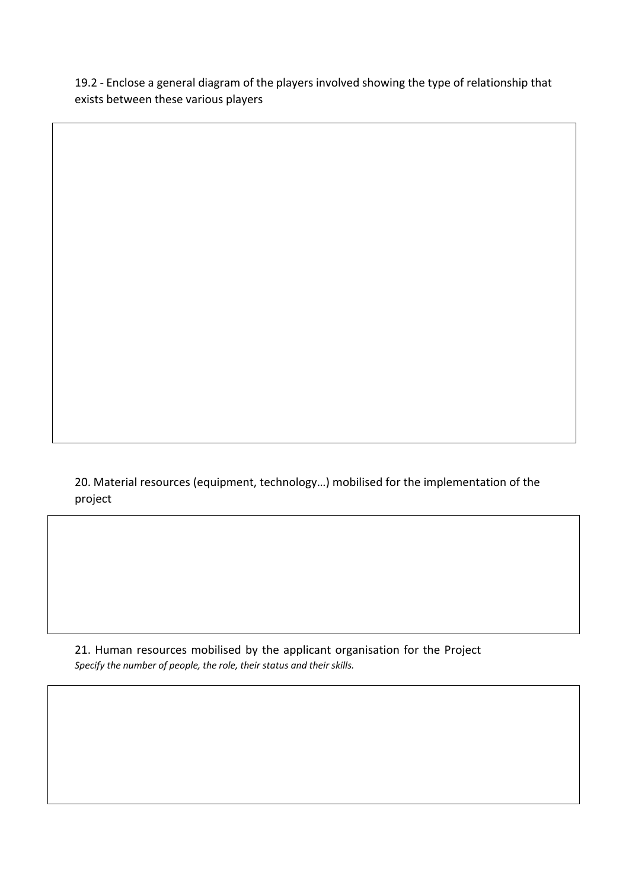19.2 - Enclose a general diagram of the players involved showing the type of relationship that exists between these various players

20. Material resources (equipment, technology…) mobilised for the implementation of the project

21. Human resources mobilised by the applicant organisation for the Project *Specify the number of people, the role, their status and their skills.*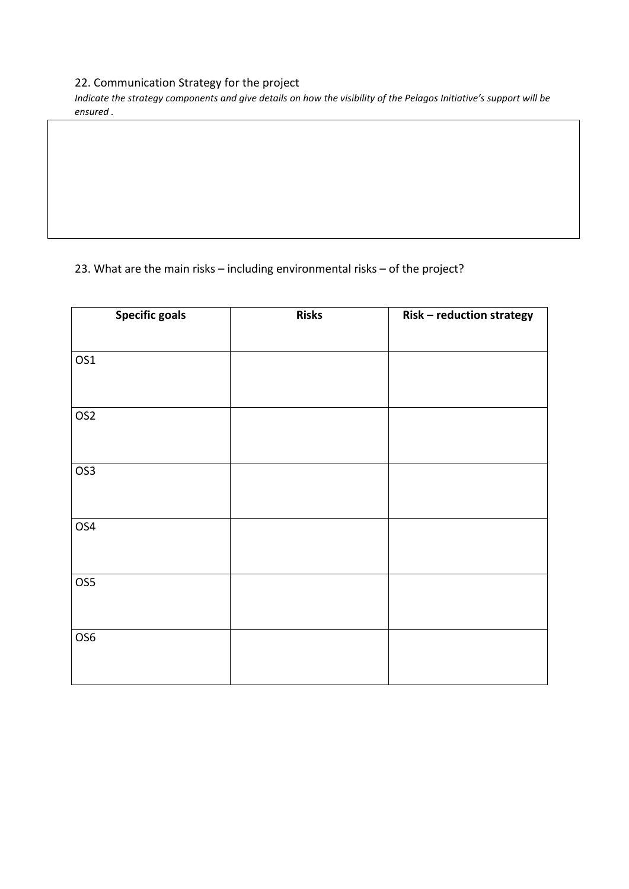## 22. Communication Strategy for the project

*Indicate the strategy components and give details on how the visibility of the Pelagos Initiative's support will be ensured .*

# 23. What are the main risks – including environmental risks – of the project?

| <b>Specific goals</b> | <b>Risks</b> | Risk - reduction strategy |
|-----------------------|--------------|---------------------------|
|                       |              |                           |
| OS1                   |              |                           |
|                       |              |                           |
| OS <sub>2</sub>       |              |                           |
|                       |              |                           |
| OS <sub>3</sub>       |              |                           |
|                       |              |                           |
| OS4                   |              |                           |
|                       |              |                           |
| OS5                   |              |                           |
|                       |              |                           |
| OS6                   |              |                           |
|                       |              |                           |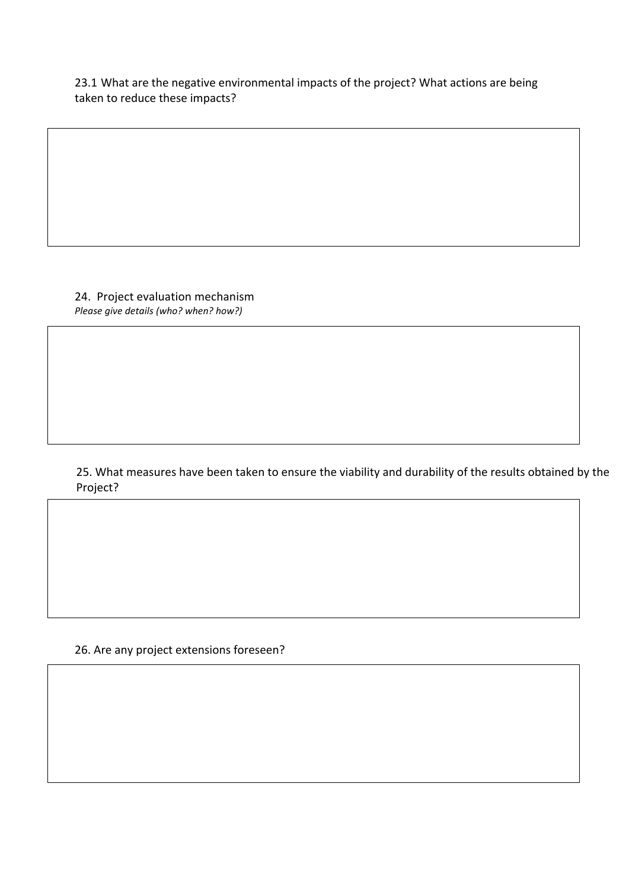23.1 What are the negative environmental impacts of the project? What actions are being taken to reduce these impacts?

24. Project evaluation mechanism *Please give details (who? when? how?)*

### 25. What measures have been taken to ensure the viability and durability of the results obtained by the Project?

26. Are any project extensions foreseen?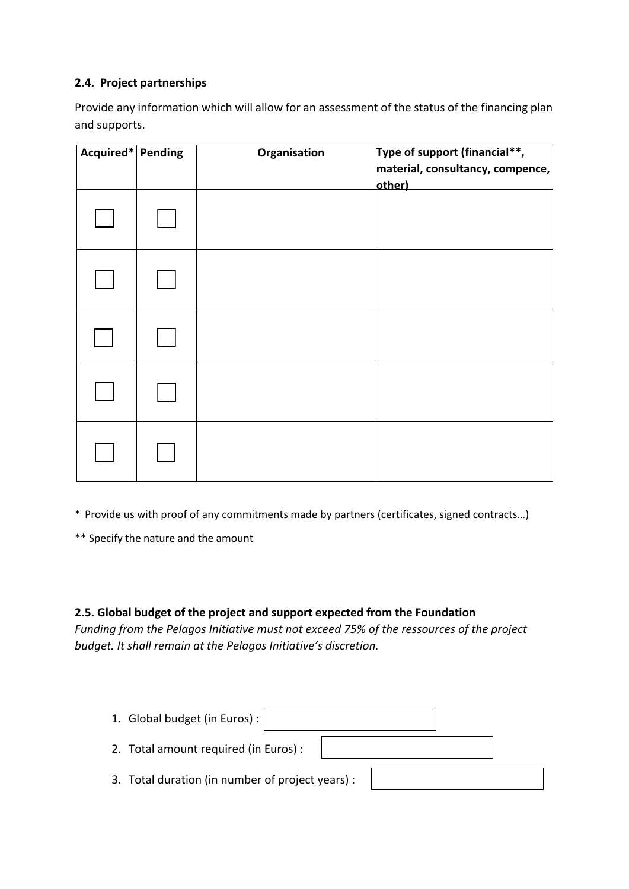## **2.4. Project partnerships**

Provide any information which will allow for an assessment of the status of the financing plan and supports.

| Acquired* Pending | Organisation | Type of support (financial**,<br>material, consultancy, compence,<br>other) |
|-------------------|--------------|-----------------------------------------------------------------------------|
|                   |              |                                                                             |
|                   |              |                                                                             |
|                   |              |                                                                             |
|                   |              |                                                                             |
|                   |              |                                                                             |

\* Provide us with proof of any commitments made by partners (certificates, signed contracts…)

\*\* Specify the nature and the amount

### **2.5. Global budget of the project and support expected from the Foundation**

*Funding from the Pelagos Initiative must not exceed 75% of the ressources of the project budget. It shall remain at the Pelagos Initiative's discretion.*

| 1. Global budget (in Euros) :                    |  |
|--------------------------------------------------|--|
| 2. Total amount required (in Euros) :            |  |
| 3. Total duration (in number of project years) : |  |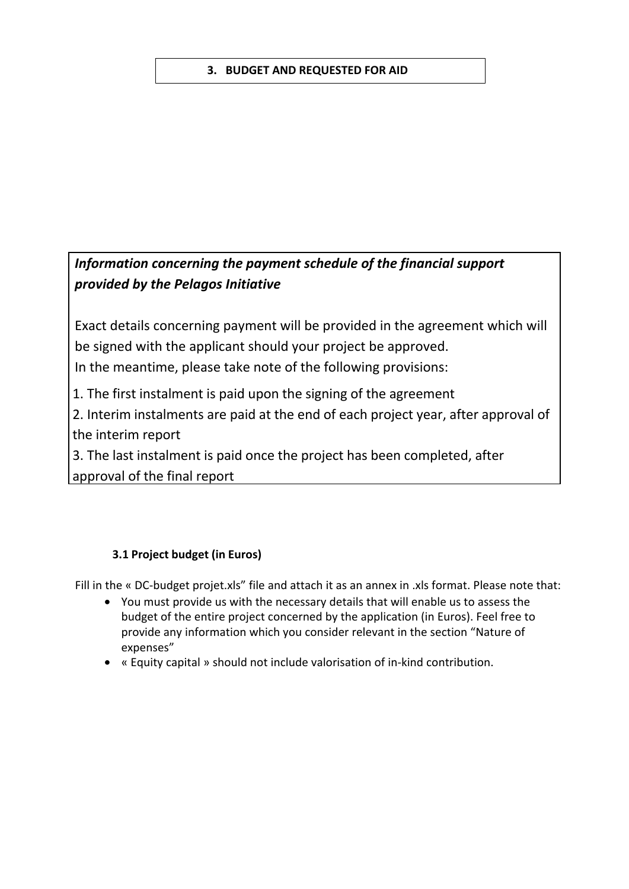## **3. BUDGET AND REQUESTED FOR AID**

# *Information concerning the payment schedule of the financial support provided by the Pelagos Initiative*

Exact details concerning payment will be provided in the agreement which will be signed with the applicant should your project be approved. In the meantime, please take note of the following provisions:

1. The first instalment is paid upon the signing of the agreement

2. Interim instalments are paid at the end of each project year, after approval of the interim report

3. The last instalment is paid once the project has been completed, after approval of the final report

## **3.1 Project budget (in Euros)**

Fill in the « DC-budget projet.xls" file and attach it as an annex in .xls format. Please note that:

- You must provide us with the necessary details that will enable us to assess the budget of the entire project concerned by the application (in Euros). Feel free to provide any information which you consider relevant in the section "Nature of expenses"
- « Equity capital » should not include valorisation of in-kind contribution.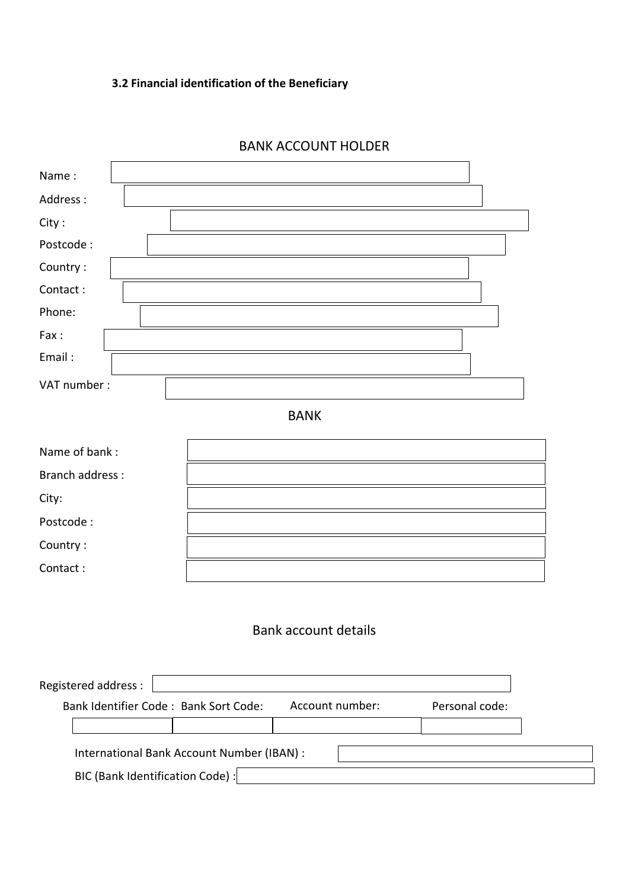# **3.2 Financial identification of the Beneficiary**

| Name:                       |  |  |  |
|-----------------------------|--|--|--|
| Address:                    |  |  |  |
| City:                       |  |  |  |
| Postcode:                   |  |  |  |
| Country:                    |  |  |  |
| Contact:                    |  |  |  |
| Phone:                      |  |  |  |
| Fax:                        |  |  |  |
| Email:                      |  |  |  |
| VAT number:                 |  |  |  |
| <b>BANK</b>                 |  |  |  |
| Name of bank:               |  |  |  |
| <b>Branch address:</b>      |  |  |  |
| City:                       |  |  |  |
| Postcode:                   |  |  |  |
| Country:                    |  |  |  |
| Contact:                    |  |  |  |
|                             |  |  |  |
| <b>Bank account details</b> |  |  |  |

### BANK ACCOUNT HOLDER